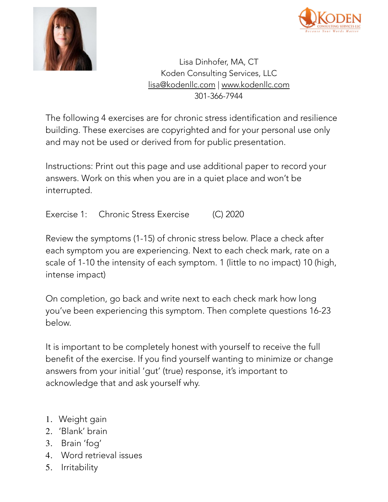



Lisa Dinhofer, MA, CT Koden Consulting Services, LLC [lisa@kodenllc.com](mailto:lisa@kodenllc.com) | [www.kodenllc.com](http://www.kodenllc.com) 301-366-7944

The following 4 exercises are for chronic stress identification and resilience building. These exercises are copyrighted and for your personal use only and may not be used or derived from for public presentation.

Instructions: Print out this page and use additional paper to record your answers. Work on this when you are in a quiet place and won't be interrupted.

Exercise 1: Chronic Stress Exercise (C) 2020

Review the symptoms (1-15) of chronic stress below. Place a check after each symptom you are experiencing. Next to each check mark, rate on a scale of 1-10 the intensity of each symptom. 1 (little to no impact) 10 (high, intense impact)

On completion, go back and write next to each check mark how long you've been experiencing this symptom. Then complete questions 16-23 below.

It is important to be completely honest with yourself to receive the full benefit of the exercise. If you find yourself wanting to minimize or change answers from your initial 'gut' (true) response, it's important to acknowledge that and ask yourself why.

- 1. Weight gain
- 2. 'Blank' brain
- 3. Brain 'fog'
- 4. Word retrieval issues
- 5. Irritability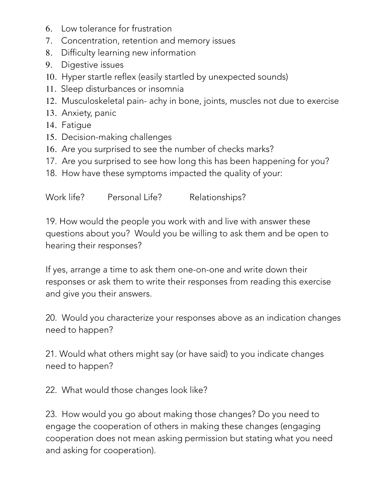- 6. Low tolerance for frustration
- 7. Concentration, retention and memory issues
- 8. Difficulty learning new information
- 9. Digestive issues
- 10. Hyper startle reflex (easily startled by unexpected sounds)
- 11. Sleep disturbances or insomnia
- 12. Musculoskeletal pain- achy in bone, joints, muscles not due to exercise
- 13. Anxiety, panic
- 14. Fatigue
- 15. Decision-making challenges
- 16. Are you surprised to see the number of checks marks?
- 17. Are you surprised to see how long this has been happening for you?
- 18. How have these symptoms impacted the quality of your:

Work life? Personal Life? Relationships?

19. How would the people you work with and live with answer these questions about you? Would you be willing to ask them and be open to hearing their responses?

If yes, arrange a time to ask them one-on-one and write down their responses or ask them to write their responses from reading this exercise and give you their answers.

20. Would you characterize your responses above as an indication changes need to happen?

21. Would what others might say (or have said) to you indicate changes need to happen?

22. What would those changes look like?

23. How would you go about making those changes? Do you need to engage the cooperation of others in making these changes (engaging cooperation does not mean asking permission but stating what you need and asking for cooperation).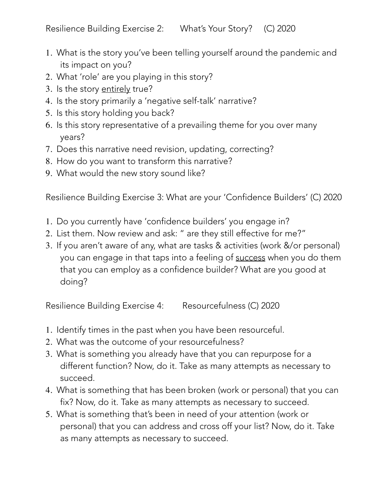Resilience Building Exercise 2: What's Your Story? (C) 2020

- 1. What is the story you've been telling yourself around the pandemic and its impact on you?
- 2. What 'role' are you playing in this story?
- 3. Is the story entirely true?
- 4. Is the story primarily a 'negative self-talk' narrative?
- 5. Is this story holding you back?
- 6. Is this story representative of a prevailing theme for you over many years?
- 7. Does this narrative need revision, updating, correcting?
- 8. How do you want to transform this narrative?
- 9. What would the new story sound like?

Resilience Building Exercise 3: What are your 'Confidence Builders' (C) 2020

- 1. Do you currently have 'confidence builders' you engage in?
- 2. List them. Now review and ask: " are they still effective for me?"
- 3. If you aren't aware of any, what are tasks & activities (work &/or personal) you can engage in that taps into a feeling of success when you do them that you can employ as a confidence builder? What are you good at doing?

Resilience Building Exercise 4: Resourcefulness (C) 2020

- 1. Identify times in the past when you have been resourceful.
- 2. What was the outcome of your resourcefulness?
- 3. What is something you already have that you can repurpose for a different function? Now, do it. Take as many attempts as necessary to succeed.
- 4. What is something that has been broken (work or personal) that you can fix? Now, do it. Take as many attempts as necessary to succeed.
- 5. What is something that's been in need of your attention (work or personal) that you can address and cross off your list? Now, do it. Take as many attempts as necessary to succeed.